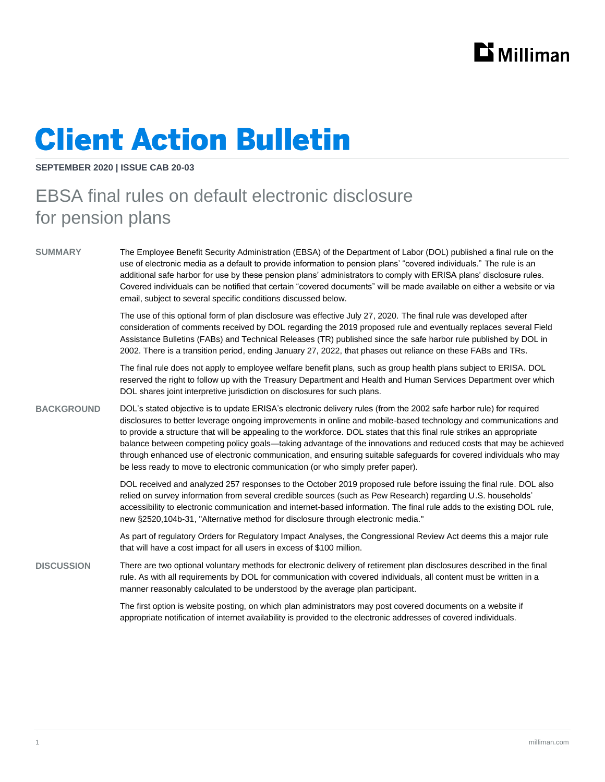

## **Client Action Bulletin**

**SEPTEMBER 2020 | ISSUE CAB 20-03**

## EBSA final rules on default electronic disclosure for pension plans

**SUMMARY** The Employee Benefit Security Administration (EBSA) of the Department of Labor (DOL) published a final rule on the use of electronic media as a default to provide information to pension plans' "covered individuals." The rule is an additional safe harbor for use by these pension plans' administrators to comply with ERISA plans' disclosure rules. Covered individuals can be notified that certain "covered documents" will be made available on either a website or via email, subject to several specific conditions discussed below.

> The use of this optional form of plan disclosure was effective July 27, 2020. The final rule was developed after consideration of comments received by DOL regarding the 2019 proposed rule and eventually replaces several Field Assistance Bulletins (FABs) and Technical Releases (TR) published since the safe harbor rule published by DOL in 2002. There is a transition period, ending January 27, 2022, that phases out reliance on these FABs and TRs.

> The final rule does not apply to employee welfare benefit plans, such as group health plans subject to ERISA. DOL reserved the right to follow up with the Treasury Department and Health and Human Services Department over which DOL shares joint interpretive jurisdiction on disclosures for such plans.

**BACKGROUND** DOL's stated objective is to update ERISA's electronic delivery rules (from the 2002 safe harbor rule) for required disclosures to better leverage ongoing improvements in online and mobile-based technology and communications and to provide a structure that will be appealing to the workforce. DOL states that this final rule strikes an appropriate balance between competing policy goals—taking advantage of the innovations and reduced costs that may be achieved through enhanced use of electronic communication, and ensuring suitable safeguards for covered individuals who may be less ready to move to electronic communication (or who simply prefer paper).

> DOL received and analyzed 257 responses to the October 2019 proposed rule before issuing the final rule. DOL also relied on survey information from several credible sources (such as Pew Research) regarding U.S. households' accessibility to electronic communication and internet-based information. The final rule adds to the existing DOL rule, new §2520,104b-31, "Alternative method for disclosure through electronic media."

As part of regulatory Orders for Regulatory Impact Analyses, the Congressional Review Act deems this a major rule that will have a cost impact for all users in excess of \$100 million.

**DISCUSSION** There are two optional voluntary methods for electronic delivery of retirement plan disclosures described in the final rule. As with all requirements by DOL for communication with covered individuals, all content must be written in a manner reasonably calculated to be understood by the average plan participant.

> The first option is website posting, on which plan administrators may post covered documents on a website if appropriate notification of internet availability is provided to the electronic addresses of covered individuals.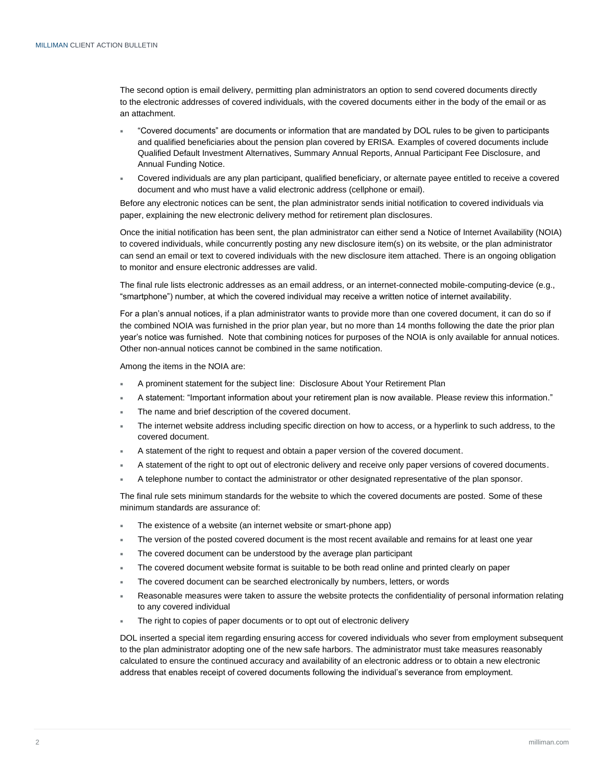The second option is email delivery, permitting plan administrators an option to send covered documents directly to the electronic addresses of covered individuals, with the covered documents either in the body of the email or as an attachment.

- "Covered documents" are documents or information that are mandated by DOL rules to be given to participants and qualified beneficiaries about the pension plan covered by ERISA. Examples of covered documents include Qualified Default Investment Alternatives, Summary Annual Reports, Annual Participant Fee Disclosure, and Annual Funding Notice.
- Covered individuals are any plan participant, qualified beneficiary, or alternate payee entitled to receive a covered document and who must have a valid electronic address (cellphone or email).

Before any electronic notices can be sent, the plan administrator sends initial notification to covered individuals via paper, explaining the new electronic delivery method for retirement plan disclosures.

Once the initial notification has been sent, the plan administrator can either send a Notice of Internet Availability (NOIA) to covered individuals, while concurrently posting any new disclosure item(s) on its website, or the plan administrator can send an email or text to covered individuals with the new disclosure item attached. There is an ongoing obligation to monitor and ensure electronic addresses are valid.

The final rule lists electronic addresses as an email address, or an internet-connected mobile-computing-device (e.g., "smartphone") number, at which the covered individual may receive a written notice of internet availability.

For a plan's annual notices, if a plan administrator wants to provide more than one covered document, it can do so if the combined NOIA was furnished in the prior plan year, but no more than 14 months following the date the prior plan year's notice was furnished. Note that combining notices for purposes of the NOIA is only available for annual notices. Other non-annual notices cannot be combined in the same notification.

Among the items in the NOIA are:

- A prominent statement for the subject line: Disclosure About Your Retirement Plan
- A statement: "Important information about your retirement plan is now available. Please review this information."
- The name and brief description of the covered document.
- The internet website address including specific direction on how to access, or a hyperlink to such address, to the covered document.
- A statement of the right to request and obtain a paper version of the covered document.
- A statement of the right to opt out of electronic delivery and receive only paper versions of covered documents.
- A telephone number to contact the administrator or other designated representative of the plan sponsor.

The final rule sets minimum standards for the website to which the covered documents are posted. Some of these minimum standards are assurance of:

- The existence of a website (an internet website or smart-phone app)
- The version of the posted covered document is the most recent available and remains for at least one year
- The covered document can be understood by the average plan participant
- The covered document website format is suitable to be both read online and printed clearly on paper
- The covered document can be searched electronically by numbers, letters, or words
- Reasonable measures were taken to assure the website protects the confidentiality of personal information relating to any covered individual
- The right to copies of paper documents or to opt out of electronic delivery

DOL inserted a special item regarding ensuring access for covered individuals who sever from employment subsequent to the plan administrator adopting one of the new safe harbors. The administrator must take measures reasonably calculated to ensure the continued accuracy and availability of an electronic address or to obtain a new electronic address that enables receipt of covered documents following the individual's severance from employment.